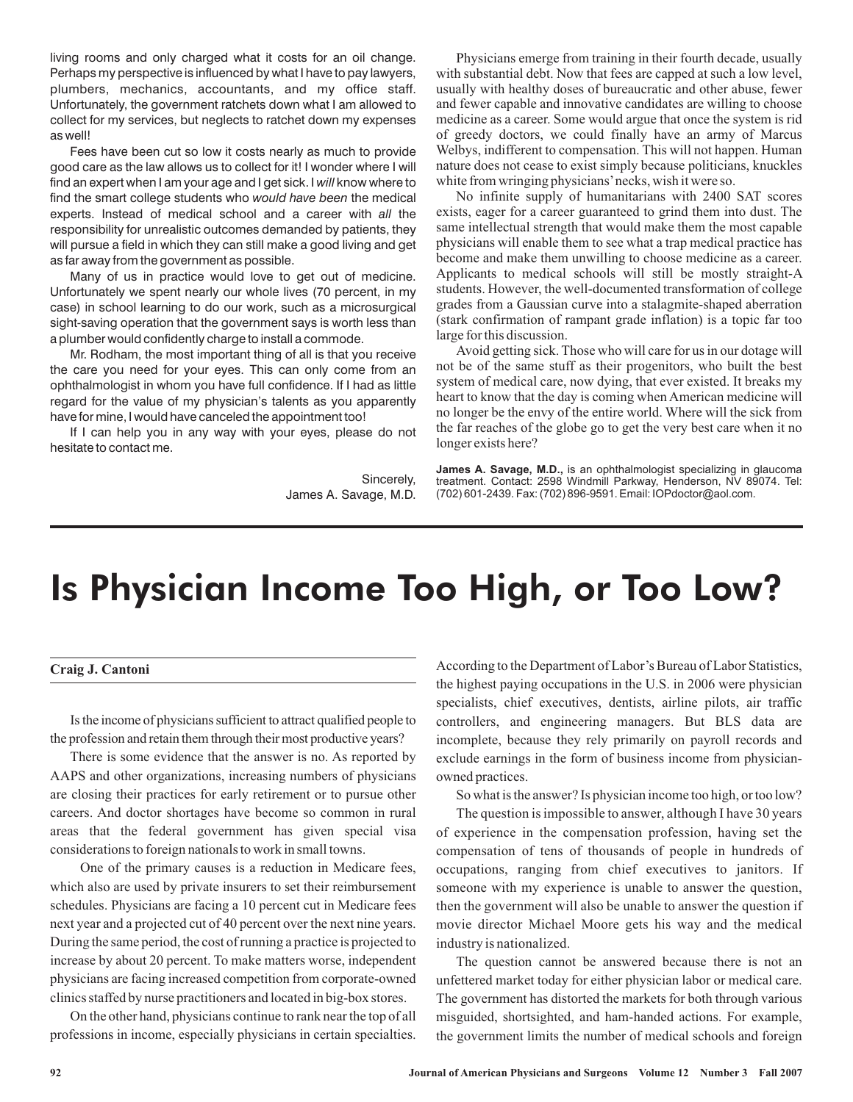living rooms and only charged what it costs for an oil change. Perhaps my perspective is influenced by what I have to pay lawyers, plumbers, mechanics, accountants, and my office staff. Unfortunately, the government ratchets down what I am allowed to collect for my services, but neglects to ratchet down my expenses as well!

Fees have been cut so low it costs nearly as much to provide good care as the law allows us to collect for it! I wonder where I will find an expert when I am your age and I get sick. I *will* know where to find the smart college students who would have been the medical experts. Instead of medical school and a career with all the responsibility for unrealistic outcomes demanded by patients, they will pursue a field in which they can still make a good living and get as far away from the government as possible.

Many of us in practice would love to get out of medicine. Unfortunately we spent nearly our whole lives (70 percent, in my case) in school learning to do our work, such as a microsurgical sight-saving operation that the government says is worth less than a plumber would confidently charge to install a commode.

Mr. Rodham, the most important thing of all is that you receive the care you need for your eyes. This can only come from an ophthalmologist in whom you have full confidence. If I had as little regard for the value of my physician's talents as you apparently have for mine, I would have canceled the appointment too!

If I can help you in any way with your eyes, please do not hesitate to contact me.

> Sincerely, James A. Savage, M.D.

Physicians emerge from training in their fourth decade, usually with substantial debt. Now that fees are capped at such a low level, usually with healthy doses of bureaucratic and other abuse, fewer and fewer capable and innovative candidates are willing to choose medicine as a career. Some would argue that once the system is rid of greedy doctors, we could finally have an army of Marcus Welbys, indifferent to compensation. This will not happen. Human nature does not cease to exist simply because politicians, knuckles white from wringing physicians'necks, wish it were so.

No infinite supply of humanitarians with 2400 SAT scores exists, eager for a career guaranteed to grind them into dust. The same intellectual strength that would make them the most capable physicians will enable them to see what a trap medical practice has become and make them unwilling to choose medicine as a career. Applicants to medical schools will still be mostly straight-A students. However, the well-documented transformation of college grades from a Gaussian curve into a stalagmite-shaped aberration (stark confirmation of rampant grade inflation) is a topic far too large for this discussion.

Avoid getting sick. Those who will care for us in our dotage will not be of the same stuff as their progenitors, who built the best system of medical care, now dying, that ever existed. It breaks my heart to know that the day is coming when American medicine will no longer be the envy of the entire world. Where will the sick from the far reaches of the globe go to get the very best care when it no longer exists here?

**James A. Savage, M.D.,** is an ophthalmologist specializing in glaucoma treatment. Contact: 2598 Windmill Parkway, Henderson, NV 89074. Tel: (702) 601-2439. Fax: (702) 896-9591. Email: IOPdoctor@aol.com.

## Is Physician Income Too High, or Too Low?

## **Craig J. Cantoni**

Is the income of physicians sufficient to attract qualified people to the profession and retain them through their most productive years?

There is some evidence that the answer is no. As reported by AAPS and other organizations, increasing numbers of physicians are closing their practices for early retirement or to pursue other careers. And doctor shortages have become so common in rural areas that the federal government has given special visa considerations to foreign nationals to work in small towns.

One of the primary causes is a reduction in Medicare fees, which also are used by private insurers to set their reimbursement schedules. Physicians are facing a 10 percent cut in Medicare fees next year and a projected cut of 40 percent over the next nine years. During the same period, the cost of running a practice is projected to increase by about 20 percent. To make matters worse, independent physicians are facing increased competition from corporate-owned clinics staffed by nurse practitioners and located in big-box stores.

On the other hand, physicians continue to rank near the top of all professions in income, especially physicians in certain specialties.

According to the Department of Labor's Bureau of Labor Statistics, the highest paying occupations in the U.S. in 2006 were physician specialists, chief executives, dentists, airline pilots, air traffic controllers, and engineering managers. But BLS data are incomplete, because they rely primarily on payroll records and exclude earnings in the form of business income from physicianowned practices.

So what is the answer? Is physician income too high, or too low?

The question is impossible to answer, although I have 30 years of experience in the compensation profession, having set the compensation of tens of thousands of people in hundreds of occupations, ranging from chief executives to janitors. If someone with my experience is unable to answer the question, then the government will also be unable to answer the question if movie director Michael Moore gets his way and the medical industry is nationalized.

The question cannot be answered because there is not an unfettered market today for either physician labor or medical care. The government has distorted the markets for both through various misguided, shortsighted, and ham-handed actions. For example, the government limits the number of medical schools and foreign